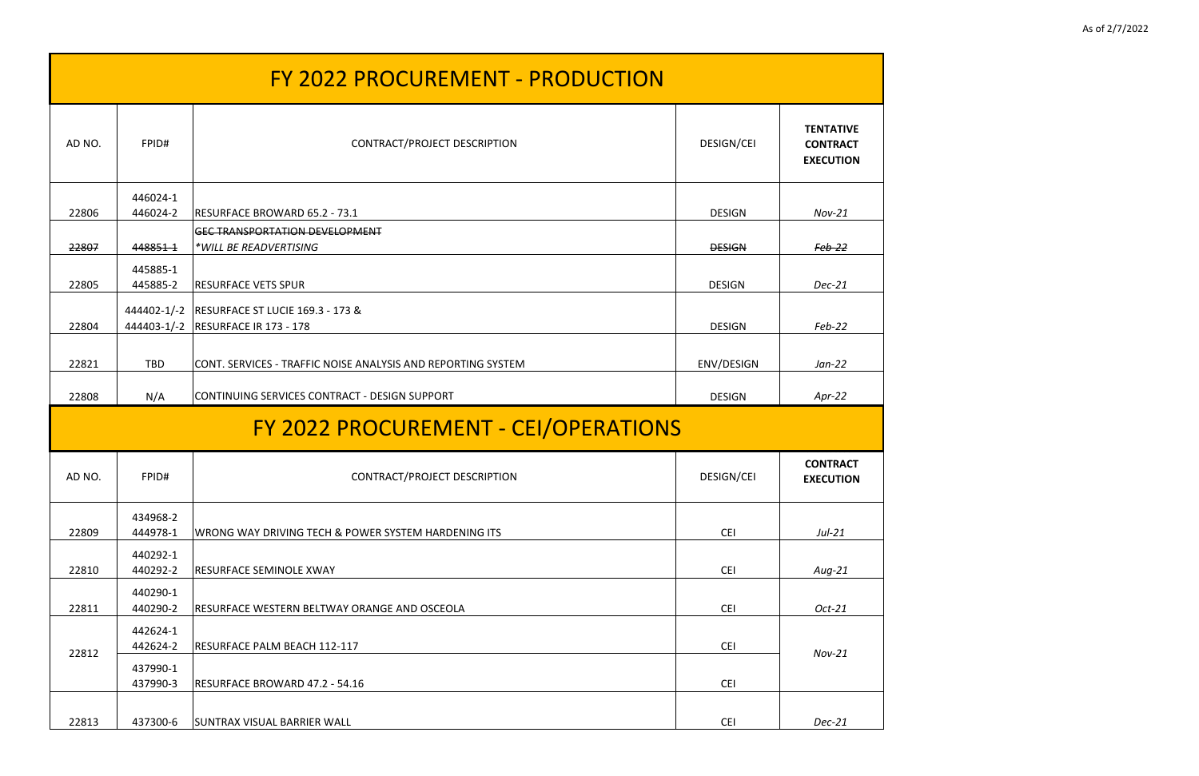| <b>FY 2022 PROCUREMENT - PRODUCTION</b> |                      |                                                                                        |                   |                                                         |
|-----------------------------------------|----------------------|----------------------------------------------------------------------------------------|-------------------|---------------------------------------------------------|
| AD NO.                                  | FPID#                | CONTRACT/PROJECT DESCRIPTION                                                           | <b>DESIGN/CEI</b> | <b>TENTATIVE</b><br><b>CONTRACT</b><br><b>EXECUTION</b> |
| 22806                                   | 446024-1<br>446024-2 | RESURFACE BROWARD 65.2 - 73.1                                                          | <b>DESIGN</b>     | $Nov-21$                                                |
| 22807                                   | 448851-1             | <b>GEC TRANSPORTATION DEVELOPMENT</b><br>*WILL BE READVERTISING                        | <b>DESIGN</b>     | Feb-22                                                  |
| 22805                                   | 445885-1<br>445885-2 | <b>RESURFACE VETS SPUR</b>                                                             | <b>DESIGN</b>     | $Dec-21$                                                |
| 22804                                   |                      | 444402-1/-2   RESURFACE ST LUCIE 169.3 - 173 &<br>444403-1/-2   RESURFACE IR 173 - 178 | <b>DESIGN</b>     | Feb-22                                                  |
| 22821                                   | <b>TBD</b>           | CONT. SERVICES - TRAFFIC NOISE ANALYSIS AND REPORTING SYSTEM                           | ENV/DESIGN        | $Jan-22$                                                |
| 22808                                   | N/A                  | CONTINUING SERVICES CONTRACT - DESIGN SUPPORT                                          | <b>DESIGN</b>     | $Apr-22$                                                |
|                                         |                      | FY 2022 PROCUREMENT - CEI/OPERATIONS                                                   |                   |                                                         |
| AD NO.                                  | FPID#                | CONTRACT/PROJECT DESCRIPTION                                                           | <b>DESIGN/CEI</b> | <b>CONTRACT</b><br><b>EXECUTION</b>                     |
| 22809                                   | 434968-2<br>444978-1 | WRONG WAY DRIVING TECH & POWER SYSTEM HARDENING ITS                                    | <b>CEI</b>        | $Jul-21$                                                |
| 22810                                   | 440292-1<br>440292-2 | <b>RESURFACE SEMINOLE XWAY</b>                                                         | <b>CEI</b>        | $Aug-21$                                                |
| 22811                                   | 440290-1<br>440290-2 | RESURFACE WESTERN BELTWAY ORANGE AND OSCEOLA                                           | <b>CEI</b>        | $Oct-21$                                                |
| 22812                                   | 442624-1<br>442624-2 | RESURFACE PALM BEACH 112-117                                                           | <b>CEI</b>        | $Nov-21$                                                |
|                                         | 437990-1<br>437990-3 | RESURFACE BROWARD 47.2 - 54.16                                                         | <b>CEI</b>        |                                                         |
| 22813                                   | 437300-6             | <b>SUNTRAX VISUAL BARRIER WALL</b>                                                     | <b>CEI</b>        | $Dec-21$                                                |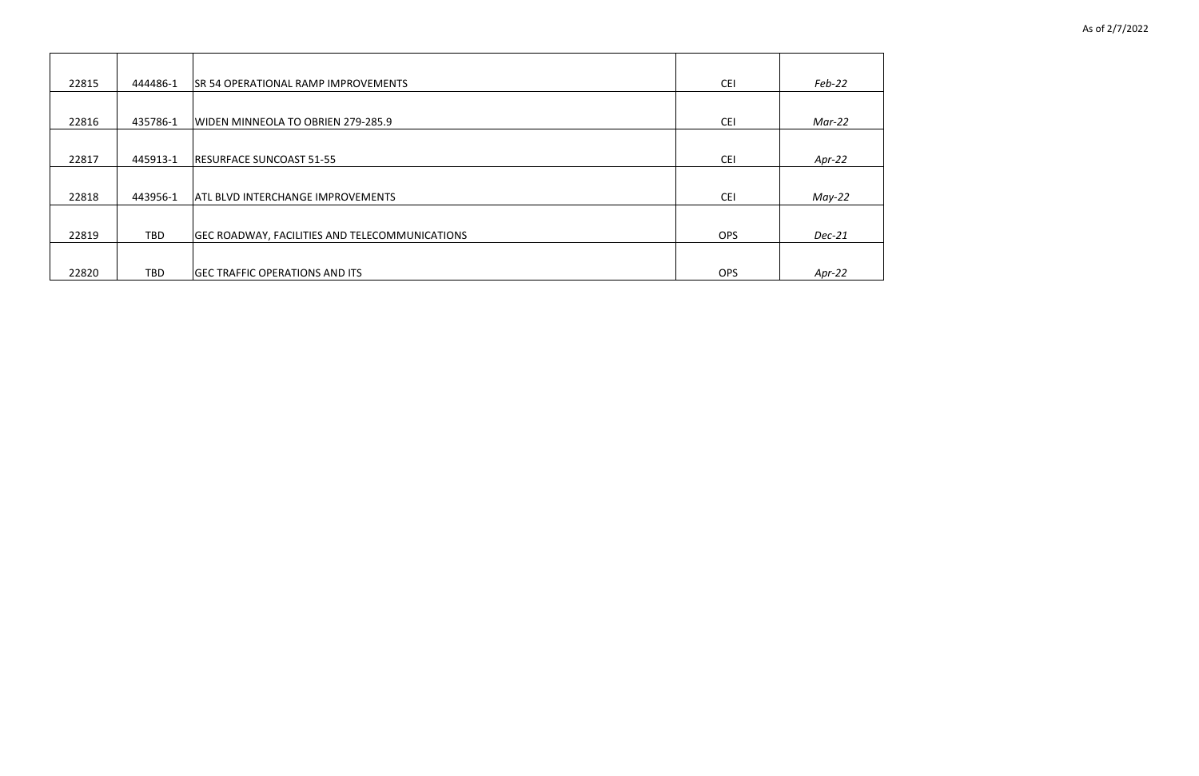| 22815 | 444486-1   | <b>SR 54 OPERATIONAL RAMP IMPROVEMENTS</b>     | <b>CEI</b> | $Feb-22$ |
|-------|------------|------------------------------------------------|------------|----------|
|       |            |                                                |            |          |
| 22816 | 435786-1   | WIDEN MINNEOLA TO OBRIEN 279-285.9             | <b>CEI</b> | Mar-22   |
|       |            |                                                |            |          |
| 22817 | 445913-1   | <b>RESURFACE SUNCOAST 51-55</b>                | <b>CEI</b> | Apr-22   |
|       |            |                                                |            |          |
| 22818 | 443956-1   | <b>ATL BLVD INTERCHANGE IMPROVEMENTS</b>       | <b>CEI</b> | $May-22$ |
|       |            |                                                |            |          |
| 22819 | <b>TBD</b> | GEC ROADWAY, FACILITIES AND TELECOMMUNICATIONS | <b>OPS</b> | Dec-21   |
|       |            |                                                |            |          |
| 22820 | TBD        | <b>GEC TRAFFIC OPERATIONS AND ITS</b>          | <b>OPS</b> | Apr-22   |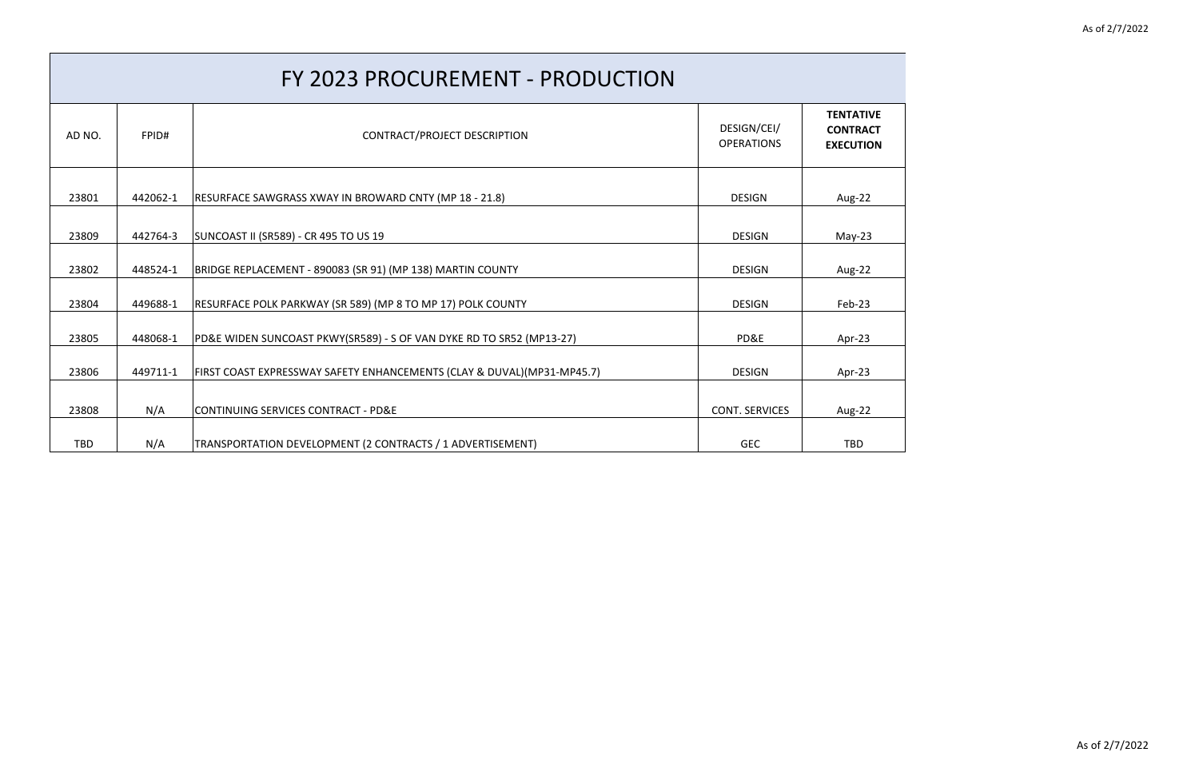| AD NO. | FPID#    | CONTRACT/PROJECT DESCRIPTION                                            | DESIGN/CEI/<br><b>OPERATIONS</b> | <b>TENTATIVE</b><br><b>CONTRACT</b><br><b>EXECUTION</b> |
|--------|----------|-------------------------------------------------------------------------|----------------------------------|---------------------------------------------------------|
| 23801  | 442062-1 | RESURFACE SAWGRASS XWAY IN BROWARD CNTY (MP 18 - 21.8)                  | <b>DESIGN</b>                    | Aug-22                                                  |
| 23809  | 442764-3 | SUNCOAST II (SR589) - CR 495 TO US 19                                   | <b>DESIGN</b>                    | $May-23$                                                |
| 23802  | 448524-1 | BRIDGE REPLACEMENT - 890083 (SR 91) (MP 138) MARTIN COUNTY              | <b>DESIGN</b>                    | Aug-22                                                  |
| 23804  | 449688-1 | RESURFACE POLK PARKWAY (SR 589) (MP 8 TO MP 17) POLK COUNTY             | <b>DESIGN</b>                    | Feb-23                                                  |
| 23805  | 448068-1 | PD&E WIDEN SUNCOAST PKWY(SR589) - S OF VAN DYKE RD TO SR52 (MP13-27)    | PD&E                             | Apr-23                                                  |
| 23806  | 449711-1 | FIRST COAST EXPRESSWAY SAFETY ENHANCEMENTS (CLAY & DUVAL) (MP31-MP45.7) | <b>DESIGN</b>                    | Apr-23                                                  |
| 23808  | N/A      | CONTINUING SERVICES CONTRACT - PD&E                                     | <b>CONT. SERVICES</b>            | Aug-22                                                  |
| TBD    | N/A      | TRANSPORTATION DEVELOPMENT (2 CONTRACTS / 1 ADVERTISEMENT)              | <b>GEC</b>                       | <b>TBD</b>                                              |

## FY 2023 PROCUREMENT - PRODUCTION

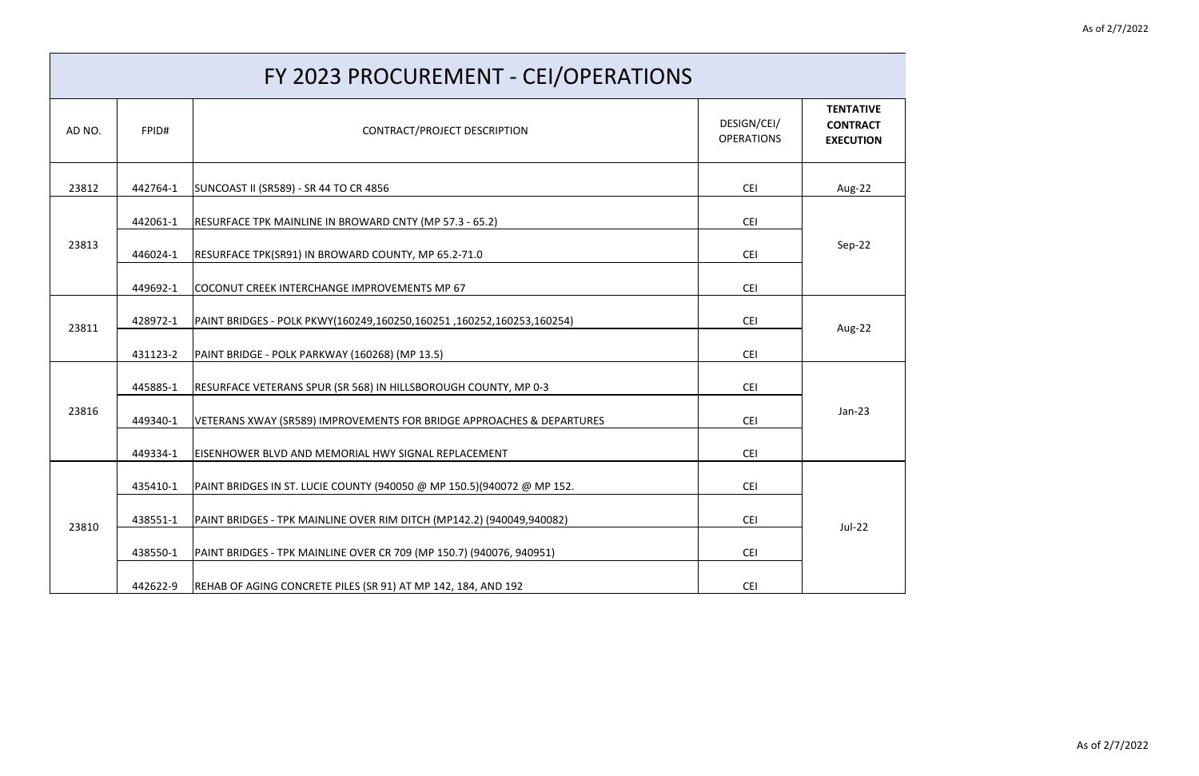| FY 2023 PROCUREMENT - CEI/OPERATIONS |          |                                                                        |                                  |                                                         |
|--------------------------------------|----------|------------------------------------------------------------------------|----------------------------------|---------------------------------------------------------|
| AD NO.                               | FPID#    | CONTRACT/PROJECT DESCRIPTION                                           | DESIGN/CEI/<br><b>OPERATIONS</b> | <b>TENTATIVE</b><br><b>CONTRACT</b><br><b>EXECUTION</b> |
| 23812                                | 442764-1 | SUNCOAST II (SR589) - SR 44 TO CR 4856                                 | <b>CEI</b>                       | Aug-22                                                  |
|                                      | 442061-1 | RESURFACE TPK MAINLINE IN BROWARD CNTY (MP 57.3 - 65.2)                | <b>CEI</b>                       |                                                         |
| 23813                                | 446024-1 | RESURFACE TPK(SR91) IN BROWARD COUNTY, MP 65.2-71.0                    | <b>CEI</b>                       | Sep-22                                                  |
|                                      | 449692-1 | COCONUT CREEK INTERCHANGE IMPROVEMENTS MP 67                           | <b>CEI</b>                       |                                                         |
| 23811                                | 428972-1 | PAINT BRIDGES - POLK PKWY(160249,160250,160251,160252,160253,160254)   | <b>CEI</b>                       | Aug-22                                                  |
|                                      | 431123-2 | PAINT BRIDGE - POLK PARKWAY (160268) (MP 13.5)                         | <b>CEI</b>                       |                                                         |
| 23816                                | 445885-1 | [RESURFACE VETERANS SPUR (SR 568) IN HILLSBOROUGH COUNTY, MP 0-3       | <b>CEI</b>                       |                                                         |
|                                      | 449340-1 | VETERANS XWAY (SR589) IMPROVEMENTS FOR BRIDGE APPROACHES & DEPARTURES  | <b>CEI</b>                       | $Jan-23$                                                |
|                                      | 449334-1 | EISENHOWER BLVD AND MEMORIAL HWY SIGNAL REPLACEMENT                    | <b>CEI</b>                       |                                                         |
| 23810                                | 435410-1 | PAINT BRIDGES IN ST. LUCIE COUNTY (940050 @ MP 150.5)(940072 @ MP 152. | <b>CEI</b>                       |                                                         |
|                                      | 438551-1 | PAINT BRIDGES - TPK MAINLINE OVER RIM DITCH (MP142.2) (940049,940082)  | <b>CEI</b>                       | $Jul-22$                                                |
|                                      | 438550-1 | PAINT BRIDGES - TPK MAINLINE OVER CR 709 (MP 150.7) (940076, 940951)   | <b>CEI</b>                       |                                                         |
|                                      | 442622-9 | REHAB OF AGING CONCRETE PILES (SR 91) AT MP 142, 184, AND 192          | <b>CEI</b>                       |                                                         |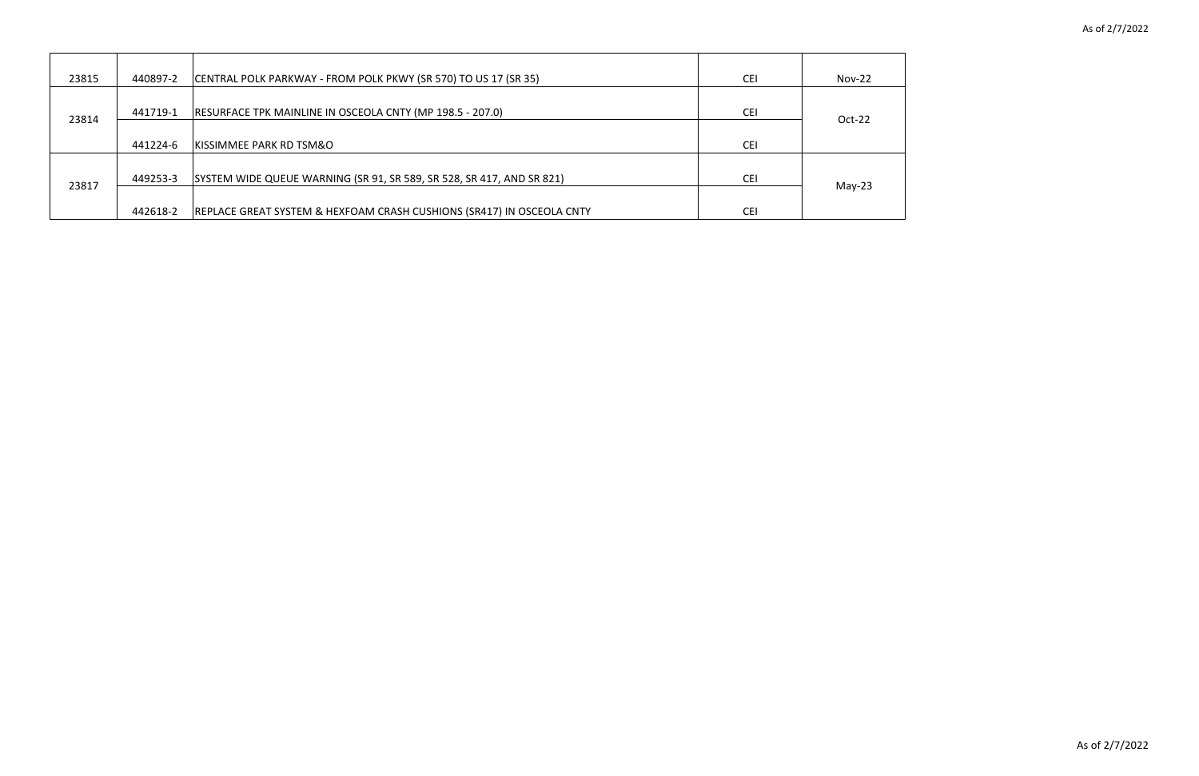

| 23815 | 440897-2 | CENTRAL POLK PARKWAY - FROM POLK PKWY (SR 570) TO US 17 (SR 35)                  | <b>CEI</b> | <b>Nov-22</b> |
|-------|----------|----------------------------------------------------------------------------------|------------|---------------|
| 23814 | 441719-1 | RESURFACE TPK MAINLINE IN OSCEOLA CNTY (MP 198.5 - 207.0)                        | <b>CEI</b> | Oct-22        |
|       | 441224-6 | <b>KISSIMMEE PARK RD TSM&amp;O</b>                                               | <b>CEI</b> |               |
| 23817 | 449253-3 | SYSTEM WIDE QUEUE WARNING (SR 91, SR 589, SR 528, SR 417, AND SR 821)            | <b>CEI</b> | $May-23$      |
|       | 442618-2 | <b>REPLACE GREAT SYSTEM &amp; HEXFOAM CRASH CUSHIONS (SR417) IN OSCEOLA CNTY</b> | <b>CEI</b> |               |